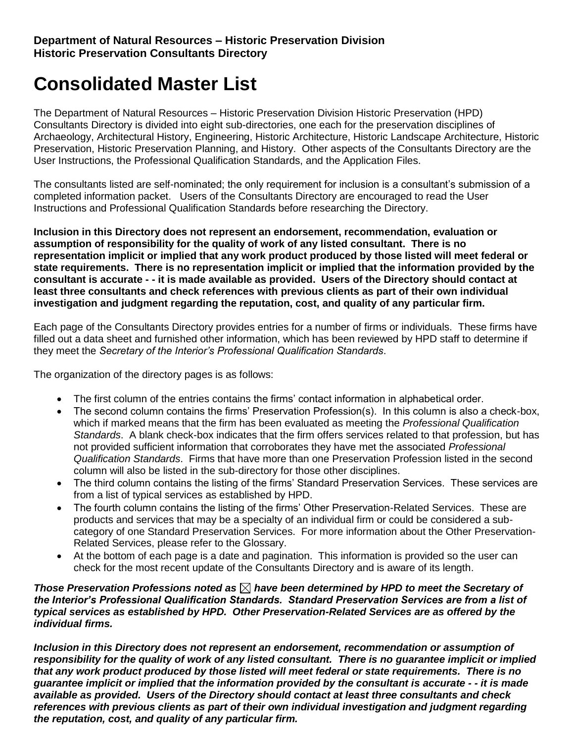# **Consolidated Master List**

The Department of Natural Resources – Historic Preservation Division Historic Preservation (HPD) Consultants Directory is divided into eight sub-directories, one each for the preservation disciplines of Archaeology, Architectural History, Engineering, Historic Architecture, Historic Landscape Architecture, Historic Preservation, Historic Preservation Planning, and History. Other aspects of the Consultants Directory are the User Instructions, the Professional Qualification Standards, and the Application Files.

The consultants listed are self-nominated; the only requirement for inclusion is a consultant's submission of a completed information packet. Users of the Consultants Directory are encouraged to read the User Instructions and Professional Qualification Standards before researching the Directory.

**Inclusion in this Directory does not represent an endorsement, recommendation, evaluation or assumption of responsibility for the quality of work of any listed consultant. There is no representation implicit or implied that any work product produced by those listed will meet federal or state requirements. There is no representation implicit or implied that the information provided by the consultant is accurate - - it is made available as provided. Users of the Directory should contact at least three consultants and check references with previous clients as part of their own individual investigation and judgment regarding the reputation, cost, and quality of any particular firm.**

Each page of the Consultants Directory provides entries for a number of firms or individuals. These firms have filled out a data sheet and furnished other information, which has been reviewed by HPD staff to determine if they meet the *Secretary of the Interior's Professional Qualification Standards*.

The organization of the directory pages is as follows:

- The first column of the entries contains the firms' contact information in alphabetical order.
- The second column contains the firms' Preservation Profession(s). In this column is also a check-box, which if marked means that the firm has been evaluated as meeting the *Professional Qualification Standards*. A blank check-box indicates that the firm offers services related to that profession, but has not provided sufficient information that corroborates they have met the associated *Professional Qualification Standards*. Firms that have more than one Preservation Profession listed in the second column will also be listed in the sub-directory for those other disciplines.
- The third column contains the listing of the firms' Standard Preservation Services. These services are from a list of typical services as established by HPD.
- The fourth column contains the listing of the firms' Other Preservation-Related Services. These are products and services that may be a specialty of an individual firm or could be considered a subcategory of one Standard Preservation Services. For more information about the Other Preservation-Related Services, please refer to the Glossary.
- At the bottom of each page is a date and pagination. This information is provided so the user can check for the most recent update of the Consultants Directory and is aware of its length.

#### *Those Preservation Professions noted as*  $\boxtimes$  have been determined by HPD to meet the Secretary of *the Interior's Professional Qualification Standards. Standard Preservation Services are from a list of typical services as established by HPD. Other Preservation-Related Services are as offered by the individual firms.*

*Inclusion in this Directory does not represent an endorsement, recommendation or assumption of responsibility for the quality of work of any listed consultant. There is no guarantee implicit or implied that any work product produced by those listed will meet federal or state requirements. There is no guarantee implicit or implied that the information provided by the consultant is accurate - - it is made available as provided. Users of the Directory should contact at least three consultants and check references with previous clients as part of their own individual investigation and judgment regarding the reputation, cost, and quality of any particular firm.*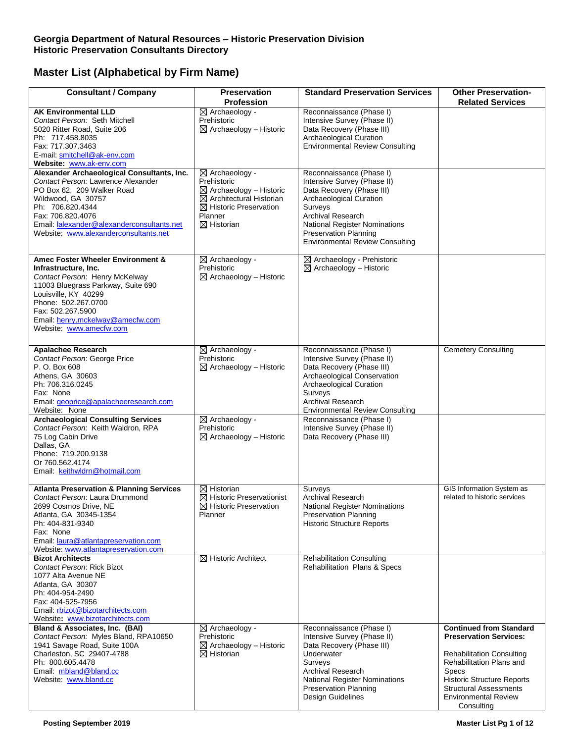| <b>Consultant / Company</b>                                                                                                                                                                                                                                          | <b>Preservation</b><br><b>Profession</b>                                                                                                                                                       | <b>Standard Preservation Services</b>                                                                                                                                                                                                                      | <b>Other Preservation-</b><br><b>Related Services</b>                                                                                                                                                                                                              |
|----------------------------------------------------------------------------------------------------------------------------------------------------------------------------------------------------------------------------------------------------------------------|------------------------------------------------------------------------------------------------------------------------------------------------------------------------------------------------|------------------------------------------------------------------------------------------------------------------------------------------------------------------------------------------------------------------------------------------------------------|--------------------------------------------------------------------------------------------------------------------------------------------------------------------------------------------------------------------------------------------------------------------|
| <b>AK Environmental LLD</b><br>Contact Person: Seth Mitchell<br>5020 Ritter Road, Suite 206<br>Ph: 717.458.8035<br>Fax: 717.307.3463<br>E-mail: smitchell@ak-env.com<br>Website: www.ak-env.com                                                                      | $\boxtimes$ Archaeology -<br>Prehistoric<br>$\boxtimes$ Archaeology - Historic                                                                                                                 | Reconnaissance (Phase I)<br>Intensive Survey (Phase II)<br>Data Recovery (Phase III)<br>Archaeological Curation<br><b>Environmental Review Consulting</b>                                                                                                  |                                                                                                                                                                                                                                                                    |
| Alexander Archaeological Consultants, Inc.<br>Contact Person: Lawrence Alexander<br>PO Box 62, 209 Walker Road<br>Wildwood, GA 30757<br>Ph: 706.820.4344<br>Fax: 706.820.4076<br>Email: lalexander@alexanderconsultants.net<br>Website: www.alexanderconsultants.net | $\boxtimes$ Archaeology -<br>Prehistoric<br>$\boxtimes$ Archaeology - Historic<br>$\boxtimes$ Architectural Historian<br>$\boxtimes$ Historic Preservation<br>Planner<br>$\boxtimes$ Historian | Reconnaissance (Phase I)<br>Intensive Survey (Phase II)<br>Data Recovery (Phase III)<br>Archaeological Curation<br>Surveys<br>Archival Research<br>National Register Nominations<br><b>Preservation Planning</b><br><b>Environmental Review Consulting</b> |                                                                                                                                                                                                                                                                    |
| Amec Foster Wheeler Environment &<br>Infrastructure, Inc.<br>Contact Person: Henry McKelway<br>11003 Bluegrass Parkway, Suite 690<br>Louisville, KY 40299<br>Phone: 502.267.0700<br>Fax: 502.267.5900<br>Email: henry.mckelway@amecfw.com<br>Website: www.amecfw.com | $\boxtimes$ Archaeology -<br>Prehistoric<br>$\boxtimes$ Archaeology – Historic                                                                                                                 | ⊠ Archaeology - Prehistoric<br>$\boxtimes$ Archaeology - Historic                                                                                                                                                                                          |                                                                                                                                                                                                                                                                    |
| <b>Apalachee Research</b><br>Contact Person: George Price<br>P. O. Box 608<br>Athens, GA 30603<br>Ph: 706.316.0245<br>Fax: None<br>Email: geoprice@apalacheeresearch.com<br>Website: None                                                                            | ⊠ Archaeology -<br>Prehistoric<br>$\boxtimes$ Archaeology - Historic                                                                                                                           | Reconnaissance (Phase I)<br>Intensive Survey (Phase II)<br>Data Recovery (Phase III)<br>Archaeological Conservation<br>Archaeological Curation<br>Surveys<br>Archival Research<br><b>Environmental Review Consulting</b>                                   | <b>Cemetery Consulting</b>                                                                                                                                                                                                                                         |
| <b>Archaeological Consulting Services</b><br>Contact Person: Keith Waldron, RPA<br>75 Log Cabin Drive<br>Dallas, GA<br>Phone: 719.200.9138<br>Or 760.562.4174<br>Email: keithwldrn@hotmail.com                                                                       | $\boxtimes$ Archaeology -<br>Prehistoric<br>$\boxtimes$ Archaeology - Historic                                                                                                                 | Reconnaissance (Phase I)<br>Intensive Survey (Phase II)<br>Data Recovery (Phase III)                                                                                                                                                                       |                                                                                                                                                                                                                                                                    |
| <b>Atlanta Preservation &amp; Planning Services</b><br>Contact Person: Laura Drummond<br>2699 Cosmos Drive, NE<br>Atlanta, GA 30345-1354<br>Ph: 404-831-9340<br>Fax: None<br>Email: laura@atlantapreservation.com<br>Website: www.atlantapreservation.com            | $\boxtimes$ Historian<br>$\boxtimes$ Historic Preservationist<br>⊠ Historic Preservation<br>Planner                                                                                            | Surveys<br><b>Archival Research</b><br>National Register Nominations<br><b>Preservation Planning</b><br><b>Historic Structure Reports</b>                                                                                                                  | GIS Information System as<br>related to historic services                                                                                                                                                                                                          |
| <b>Bizot Architects</b><br>Contact Person: Rick Bizot<br>1077 Alta Avenue NE<br>Atlanta, GA 30307<br>Ph: 404-954-2490<br>Fax: 404-525-7956<br>Email: rbizot@bizotarchitects.com<br>Website: www.bizotarchitects.com                                                  | $\boxtimes$ Historic Architect                                                                                                                                                                 | <b>Rehabilitation Consulting</b><br>Rehabilitation Plans & Specs                                                                                                                                                                                           |                                                                                                                                                                                                                                                                    |
| Bland & Associates, Inc. (BAI)<br>Contact Person: Myles Bland, RPA10650<br>1941 Savage Road, Suite 100A<br>Charleston, SC 29407-4788<br>Ph: 800.605.4478<br>Email: mbland@bland.cc<br>Website: www.bland.cc                                                          | $\boxtimes$ Archaeology -<br>Prehistoric<br>$\boxtimes$ Archaeology – Historic<br>$\boxtimes$ Historian                                                                                        | Reconnaissance (Phase I)<br>Intensive Survey (Phase II)<br>Data Recovery (Phase III)<br>Underwater<br>Surveys<br>Archival Research<br><b>National Register Nominations</b><br><b>Preservation Planning</b><br>Design Guidelines                            | <b>Continued from Standard</b><br><b>Preservation Services:</b><br><b>Rehabilitation Consulting</b><br>Rehabilitation Plans and<br><b>Specs</b><br><b>Historic Structure Reports</b><br><b>Structural Assessments</b><br><b>Environmental Review</b><br>Consulting |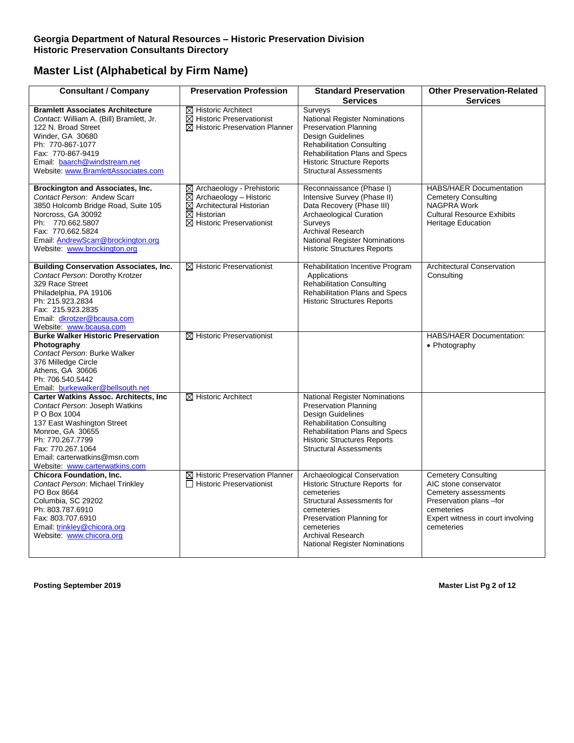#### **Georgia Department of Natural Resources – Historic Preservation Division Historic Preservation Consultants Directory**

# **Master List (Alphabetical by Firm Name)**

| <b>Consultant / Company</b>                                                                                                                                                                                                                                  | <b>Preservation Profession</b>                                                                                                                                                       | <b>Standard Preservation</b><br><b>Services</b>                                                                                                                                                                                               | <b>Other Preservation-Related</b><br><b>Services</b>                                                                                                                    |
|--------------------------------------------------------------------------------------------------------------------------------------------------------------------------------------------------------------------------------------------------------------|--------------------------------------------------------------------------------------------------------------------------------------------------------------------------------------|-----------------------------------------------------------------------------------------------------------------------------------------------------------------------------------------------------------------------------------------------|-------------------------------------------------------------------------------------------------------------------------------------------------------------------------|
| <b>Bramlett Associates Architecture</b>                                                                                                                                                                                                                      |                                                                                                                                                                                      |                                                                                                                                                                                                                                               |                                                                                                                                                                         |
| Contact: William A. (Bill) Bramlett, Jr.<br>122 N. Broad Street<br>Winder, GA 30680<br>Ph: 770-867-1077<br>Fax: 770-867-9419<br>Email: baarch@windstream.net<br>Website: www.BramlettAssociates.com                                                          | $\boxtimes$ Historic Architect<br>$\boxtimes$ Historic Preservationist<br>$\boxtimes$ Historic Preservation Planner                                                                  | Surveys<br>National Register Nominations<br>Preservation Planning<br>Design Guidelines<br><b>Rehabilitation Consulting</b><br>Rehabilitation Plans and Specs<br><b>Historic Structure Reports</b><br><b>Structural Assessments</b>            |                                                                                                                                                                         |
| Brockington and Associates, Inc.<br>Contact Person: Andew Scarr<br>3850 Holcomb Bridge Road, Suite 105<br>Norcross, GA 30092<br>Ph: 770.662.5807<br>Fax: 770.662.5824<br>Email: AndrewScarr@brockington.org<br>Website: www.brockington.org                  | ⊠ Archaeology - Prehistoric<br>$\boxtimes$ Archaeology - Historic<br>$\overline{\boxtimes}$ Architectural Historian<br>$\boxtimes$ Historian<br>$\boxtimes$ Historic Preservationist | Reconnaissance (Phase I)<br>Intensive Survey (Phase II)<br>Data Recovery (Phase III)<br>Archaeological Curation<br>Surveys<br><b>Archival Research</b><br><b>National Register Nominations</b><br><b>Historic Structures Reports</b>          | <b>HABS/HAER Documentation</b><br><b>Cemetery Consulting</b><br>NAGPRA Work<br><b>Cultural Resource Exhibits</b><br><b>Heritage Education</b>                           |
| <b>Building Conservation Associates, Inc.</b><br>Contact Person: Dorothy Krotzer<br>329 Race Street<br>Philadelphia, PA 19106<br>Ph: 215.923.2834<br>Fax: 215.923.2835<br>Email: dkrotzer@bcausa.com<br>Website: www.bcausa.com                              | $\boxtimes$ Historic Preservationist                                                                                                                                                 | Rehabilitation Incentive Program<br>Applications<br><b>Rehabilitation Consulting</b><br>Rehabilitation Plans and Specs<br>Historic Structures Reports                                                                                         | <b>Architectural Conservation</b><br>Consulting                                                                                                                         |
| <b>Burke Walker Historic Preservation</b>                                                                                                                                                                                                                    | $\boxtimes$ Historic Preservationist                                                                                                                                                 |                                                                                                                                                                                                                                               | <b>HABS/HAER Documentation:</b>                                                                                                                                         |
| Photography<br>Contact Person: Burke Walker<br>376 Milledge Circle<br>Athens, GA 30606<br>Ph: 706.540.5442<br>Email: burkewalker@bellsouth.net                                                                                                               |                                                                                                                                                                                      |                                                                                                                                                                                                                                               | • Photography                                                                                                                                                           |
| <b>Carter Watkins Assoc. Architects, Inc.</b><br>Contact Person: Joseph Watkins<br>P O Box 1004<br>137 East Washington Street<br>Monroe, GA 30655<br>Ph: 770.267.7799<br>Fax: 770.267.1064<br>Email: carterwatkins@msn.com<br>Website: www.carterwatkins.com | $\boxtimes$ Historic Architect                                                                                                                                                       | <b>National Register Nominations</b><br>Preservation Planning<br>Design Guidelines<br><b>Rehabilitation Consulting</b><br>Rehabilitation Plans and Specs<br><b>Historic Structures Reports</b><br><b>Structural Assessments</b>               |                                                                                                                                                                         |
| <b>Chicora Foundation, Inc.</b><br>Contact Person: Michael Trinkley<br>PO Box 8664<br>Columbia, SC 29202<br>Ph: 803.787.6910<br>Fax: 803.707.6910<br>Email: trinkley@chicora.org<br>Website: www.chicora.org                                                 | ⊠ Historic Preservation Planner<br>□ Historic Preservationist                                                                                                                        | Archaeological Conservation<br>Historic Structure Reports for<br>cemeteries<br><b>Structural Assessments for</b><br>cemeteries<br>Preservation Planning for<br>cemeteries<br><b>Archival Research</b><br><b>National Register Nominations</b> | <b>Cemetery Consulting</b><br>AIC stone conservator<br>Cemetery assessments<br>Preservation plans -for<br>cemeteries<br>Expert witness in court involving<br>cemeteries |

**Posting September 2019** Master List Pg 2 of 12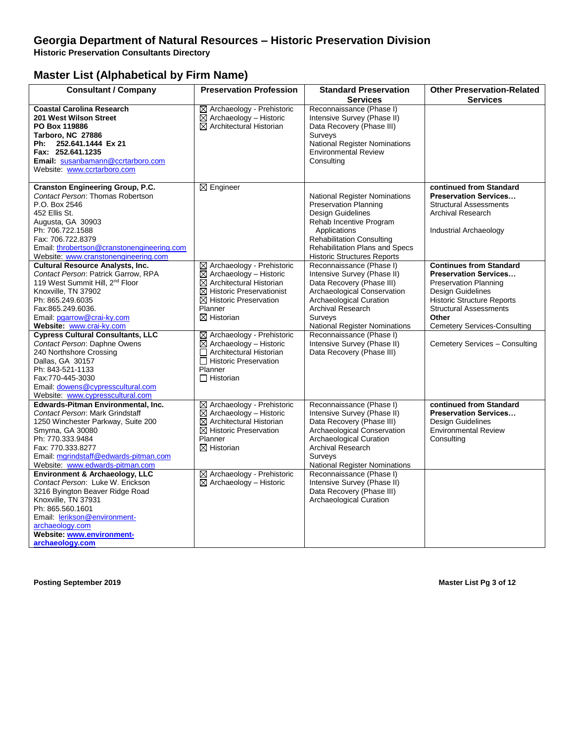#### **Georgia Department of Natural Resources – Historic Preservation Division**

**Historic Preservation Consultants Directory**

### **Master List (Alphabetical by Firm Name)**

| <b>Consultant / Company</b>                                                                                                                                                                                                                                       | <b>Preservation Profession</b>                                                                                                                                                                                            | <b>Standard Preservation</b><br><b>Services</b>                                                                                                                                                                                                         | <b>Other Preservation-Related</b><br><b>Services</b>                                                                                                                                                                                      |
|-------------------------------------------------------------------------------------------------------------------------------------------------------------------------------------------------------------------------------------------------------------------|---------------------------------------------------------------------------------------------------------------------------------------------------------------------------------------------------------------------------|---------------------------------------------------------------------------------------------------------------------------------------------------------------------------------------------------------------------------------------------------------|-------------------------------------------------------------------------------------------------------------------------------------------------------------------------------------------------------------------------------------------|
| <b>Coastal Carolina Research</b><br>201 West Wilson Street<br>PO Box 119886<br>Tarboro, NC 27886<br>Ph: 252.641.1444 Ex 21<br>Fax: 252.641.1235<br>Email: susanbamann@ccrtarboro.com<br>Website: www.ccrtarboro.com                                               | ⊠ Archaeology - Prehistoric<br>$\boxtimes$ Archaeology - Historic<br>$\boxtimes$ Architectural Historian                                                                                                                  | Reconnaissance (Phase I)<br>Intensive Survey (Phase II)<br>Data Recovery (Phase III)<br>Surveys<br>National Register Nominations<br><b>Environmental Review</b><br>Consulting                                                                           |                                                                                                                                                                                                                                           |
| <b>Cranston Engineering Group, P.C.</b><br>Contact Person: Thomas Robertson<br>P.O. Box 2546<br>452 Ellis St.<br>Augusta, GA 30903<br>Ph: 706.722.1588<br>Fax: 706.722.8379<br>Email: throbertson@cranstonengineering.com<br>Website: www.cranstonengineering.com | $\boxtimes$ Engineer                                                                                                                                                                                                      | <b>National Register Nominations</b><br><b>Preservation Planning</b><br>Design Guidelines<br>Rehab Incentive Program<br>Applications<br><b>Rehabilitation Consulting</b><br><b>Rehabilitation Plans and Specs</b><br><b>Historic Structures Reports</b> | continued from Standard<br><b>Preservation Services</b><br><b>Structural Assessments</b><br><b>Archival Research</b><br><b>Industrial Archaeology</b>                                                                                     |
| <b>Cultural Resource Analysts, Inc.</b><br>Contact Person: Patrick Garrow, RPA<br>119 West Summit Hill, 2 <sup>nd</sup> Floor<br>Knoxville, TN 37902<br>Ph: 865.249.6035<br>Fax:865.249.6036.<br>Email: pgarrow@crai-ky.com<br>Website: www.crai-ky.com           | ⊠ Archaeology - Prehistoric<br>$\boxtimes$ Archaeology - Historic<br>$\boxtimes$ Architectural Historian<br>$\boxtimes$ Historic Preservationist<br>$\boxtimes$ Historic Preservation<br>Planner<br>$\boxtimes$ Historian | Reconnaissance (Phase I)<br>Intensive Survey (Phase II)<br>Data Recovery (Phase III)<br>Archaeological Conservation<br>Archaeological Curation<br><b>Archival Research</b><br>Surveys<br>National Register Nominations                                  | <b>Continues from Standard</b><br><b>Preservation Services</b><br><b>Preservation Planning</b><br>Design Guidelines<br><b>Historic Structure Reports</b><br><b>Structural Assessments</b><br>Other<br><b>Cemetery Services-Consulting</b> |
| <b>Cypress Cultural Consultants, LLC</b><br>Contact Person: Daphne Owens<br>240 Northshore Crossing<br>Dallas, GA 30157<br>Ph: 843-521-1133<br>Fax:770-445-3030<br>Email: dowens@cypresscultural.com<br>Website: www.cypresscultural.com                          | ⊠ Archaeology - Prehistoric<br>$\boxtimes$ Archaeology - Historic<br>Architectural Historian<br>Historic Preservation<br>Planner<br>$\Box$ Historian                                                                      | Reconnaissance (Phase I)<br>Intensive Survey (Phase II)<br>Data Recovery (Phase III)                                                                                                                                                                    | Cemetery Services - Consulting                                                                                                                                                                                                            |
| Edwards-Pitman Environmental, Inc.<br>Contact Person: Mark Grindstaff<br>1250 Winchester Parkway, Suite 200<br>Smyrna, GA 30080<br>Ph: 770.333.9484<br>Fax: 770.333.8277<br>Email: mgrindstaff@edwards-pitman.com<br>Website: www.edwards-pitman.com              | ⊠ Archaeology - Prehistoric<br>$\boxtimes$ Archaeology – Historic<br>$\boxtimes$ Architectural Historian<br>$\boxtimes$ Historic Preservation<br>Planner<br>$\boxtimes$ Historian                                         | Reconnaissance (Phase I)<br>Intensive Survey (Phase II)<br>Data Recovery (Phase III)<br>Archaeological Conservation<br>Archaeological Curation<br><b>Archival Research</b><br>Surveys<br>National Register Nominations                                  | continued from Standard<br><b>Preservation Services</b><br>Design Guidelines<br><b>Environmental Review</b><br>Consulting                                                                                                                 |
| Environment & Archaeology, LLC<br>Contact Person: Luke W. Erickson<br>3216 Byington Beaver Ridge Road<br>Knoxville, TN 37931<br>Ph: 865.560.1601<br>Email: lerikson@environment-<br>archaeology.com<br>Website: www.environment-<br>archaeology.com               | ⊠ Archaeology - Prehistoric<br>$\boxtimes$ Archaeology - Historic                                                                                                                                                         | Reconnaissance (Phase I)<br>Intensive Survey (Phase II)<br>Data Recovery (Phase III)<br>Archaeological Curation                                                                                                                                         |                                                                                                                                                                                                                                           |

**Posting September 2019 Master List Pg 3 of 12**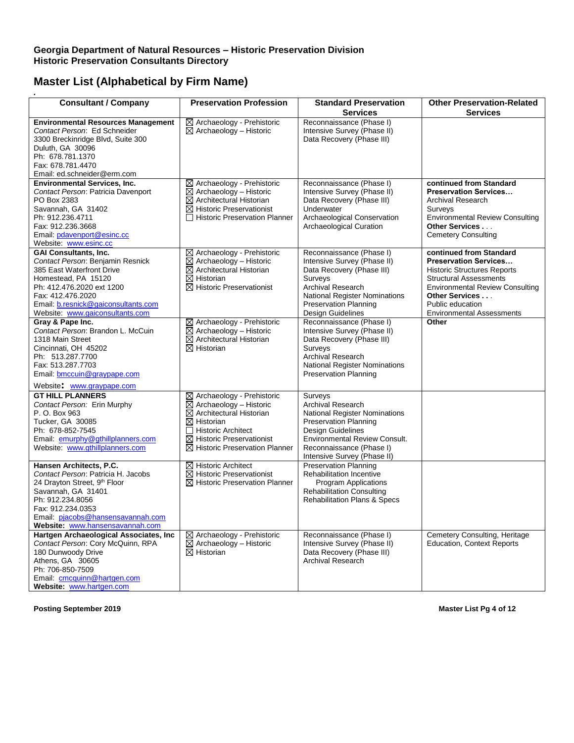| <b>Consultant / Company</b>                                                                                                                                                                                                                      | <b>Preservation Profession</b>                                                                                                                                                                                                                      | <b>Standard Preservation</b><br><b>Services</b>                                                                                                                                                                                            | <b>Other Preservation-Related</b><br><b>Services</b>                                                                                                                                                                                               |
|--------------------------------------------------------------------------------------------------------------------------------------------------------------------------------------------------------------------------------------------------|-----------------------------------------------------------------------------------------------------------------------------------------------------------------------------------------------------------------------------------------------------|--------------------------------------------------------------------------------------------------------------------------------------------------------------------------------------------------------------------------------------------|----------------------------------------------------------------------------------------------------------------------------------------------------------------------------------------------------------------------------------------------------|
| <b>Environmental Resources Management</b><br>Contact Person: Ed Schneider<br>3300 Breckinridge Blvd, Suite 300<br>Duluth, GA 30096<br>Ph: 678.781.1370<br>Fax: 678.781.4470<br>Email: ed.schneider@erm.com                                       | ⊠ Archaeology - Prehistoric<br>$\boxtimes$ Archaeology - Historic                                                                                                                                                                                   | Reconnaissance (Phase I)<br>Intensive Survey (Phase II)<br>Data Recovery (Phase III)                                                                                                                                                       |                                                                                                                                                                                                                                                    |
| <b>Environmental Services, Inc.</b><br>Contact Person: Patricia Davenport<br>PO Box 2383<br>Savannah, GA 31402<br>Ph: 912.236.4711<br>Fax: 912.236.3668<br>Email: pdavenport@esinc.cc<br>Website: www.esinc.cc                                   | $\boxtimes$ Archaeology - Prehistoric<br>$\boxtimes$ Archaeology - Historic<br>$\boxtimes$ Architectural Historian<br>$\boxtimes$ Historic Preservationist<br>□ Historic Preservation Planner                                                       | Reconnaissance (Phase I)<br>Intensive Survey (Phase II)<br>Data Recovery (Phase III)<br>Underwater<br>Archaeological Conservation<br>Archaeological Curation                                                                               | continued from Standard<br><b>Preservation Services</b><br><b>Archival Research</b><br>Surveys<br><b>Environmental Review Consulting</b><br>Other Services<br><b>Cemetery Consulting</b>                                                           |
| <b>GAI Consultants, Inc.</b><br>Contact Person: Benjamin Resnick<br>385 East Waterfront Drive<br>Homestead, PA 15120<br>Ph: 412.476.2020 ext 1200<br>Fax: 412.476.2020<br>Email: b.resnick@gaiconsultants.com<br>Website: www.gaiconsultants.com | ⊠ Archaeology - Prehistoric<br>$\boxtimes$ Archaeology - Historic<br>$\boxtimes$ Architectural Historian<br>$\boxtimes$ Historian<br>$\boxtimes$ Historic Preservationist                                                                           | Reconnaissance (Phase I)<br>Intensive Survey (Phase II)<br>Data Recovery (Phase III)<br>Surveys<br><b>Archival Research</b><br><b>National Register Nominations</b><br><b>Preservation Planning</b><br>Design Guidelines                   | continued from Standard<br><b>Preservation Services</b><br><b>Historic Structures Reports</b><br><b>Structural Assessments</b><br><b>Environmental Review Consulting</b><br>Other Services<br>Public education<br><b>Environmental Assessments</b> |
| Gray & Pape Inc.<br>Contact Person: Brandon L. McCuin<br>1318 Main Street<br>Cincinnati, OH 45202<br>Ph: 513.287.7700<br>Fax: 513.287.7703<br>Email: bmccuin@graypape.com<br>Website: www.graypape.com                                           | ⊠ Archaeology - Prehistoric<br>$\boxtimes$ Archaeology - Historic<br>$\boxtimes$ Architectural Historian<br>$\boxtimes$ Historian                                                                                                                   | Reconnaissance (Phase I)<br>Intensive Survey (Phase II)<br>Data Recovery (Phase III)<br>Surveys<br>Archival Research<br><b>National Register Nominations</b><br><b>Preservation Planning</b>                                               | Other                                                                                                                                                                                                                                              |
| <b>GT HILL PLANNERS</b><br>Contact Person: Erin Murphy<br>P. O. Box 963<br>Tucker, GA 30085<br>Ph: 678-852-7545<br>Email: emurphy@gthillplanners.com<br>Website: www.gthillplanners.com                                                          | ⊠ Archaeology - Prehistoric<br>$\boxtimes$ Archaeology - Historic<br>$\boxtimes$ Architectural Historian<br>$\boxtimes$ Historian<br>$\Box$ Historic Architect<br>$\boxtimes$ Historic Preservationist<br>$\boxtimes$ Historic Preservation Planner | Surveys<br><b>Archival Research</b><br><b>National Register Nominations</b><br><b>Preservation Planning</b><br><b>Design Guidelines</b><br><b>Environmental Review Consult.</b><br>Reconnaissance (Phase I)<br>Intensive Survey (Phase II) |                                                                                                                                                                                                                                                    |
| Hansen Architects, P.C.<br>Contact Person: Patricia H. Jacobs<br>24 Drayton Street, 9th Floor<br>Savannah, GA 31401<br>Ph: 912.234.8056<br>Fax: 912.234.0353<br>Email: pjacobs@hansensavannah.com<br>Website: www.hansensavannah.com             | $\boxtimes$ Historic Architect<br>$\boxtimes$ Historic Preservationist<br>$\boxtimes$ Historic Preservation Planner                                                                                                                                 | <b>Preservation Planning</b><br><b>Rehabilitation Incentive</b><br><b>Program Applications</b><br><b>Rehabilitation Consulting</b><br><b>Rehabilitation Plans &amp; Specs</b>                                                              |                                                                                                                                                                                                                                                    |
| Hartgen Archaeological Associates, Inc<br>Contact Person: Cory McQuinn, RPA<br>180 Dunwoody Drive<br>Athens, GA 30605<br>Ph: 706-850-7509<br>Email: cmcquinn@hartgen.com<br>Website: www.hartgen.com                                             | $\boxtimes$ Archaeology - Prehistoric<br>$\boxtimes$ Archaeology – Historic<br>$\boxtimes$ Historian                                                                                                                                                | Reconnaissance (Phase I)<br>Intensive Survey (Phase II)<br>Data Recovery (Phase III)<br>Archival Research                                                                                                                                  | Cemetery Consulting, Heritage<br><b>Education, Context Reports</b>                                                                                                                                                                                 |

**Posting September 2019 Master List Pg 4 of 12**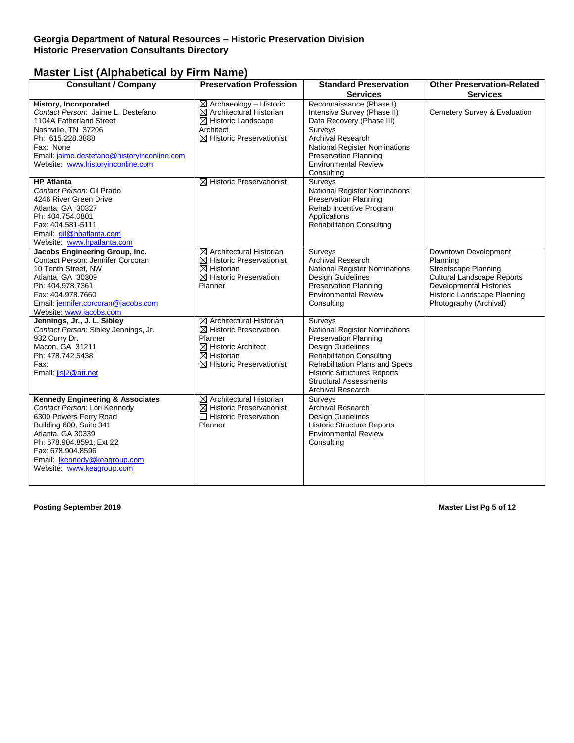| <b>Consultant / Company</b>                                                                                                                                                                                                                                         | <b>Preservation Profession</b>                                                                                                                                                         | <b>Standard Preservation</b><br><b>Services</b>                                                                                                                                                                                                                 | <b>Other Preservation-Related</b><br><b>Services</b>                                                                                                                                     |
|---------------------------------------------------------------------------------------------------------------------------------------------------------------------------------------------------------------------------------------------------------------------|----------------------------------------------------------------------------------------------------------------------------------------------------------------------------------------|-----------------------------------------------------------------------------------------------------------------------------------------------------------------------------------------------------------------------------------------------------------------|------------------------------------------------------------------------------------------------------------------------------------------------------------------------------------------|
| <b>History, Incorporated</b><br>Contact Person: Jaime L. Destefano<br>1104A Fatherland Street<br>Nashville, TN 37206<br>Ph: 615.228.3888<br>Fax: None<br>Email: jaime.destefano@historyinconline.com<br>Website: www.historyinconline.com                           | $\boxtimes$ Archaeology - Historic<br>$\boxtimes$ Architectural Historian<br>$\boxtimes$ Historic Landscape<br>Architect<br>$\boxtimes$ Historic Preservationist                       | Reconnaissance (Phase I)<br>Intensive Survey (Phase II)<br>Data Recovery (Phase III)<br>Surveys<br>Archival Research<br>National Register Nominations<br><b>Preservation Planning</b><br><b>Environmental Review</b><br>Consulting                              | Cemetery Survey & Evaluation                                                                                                                                                             |
| <b>HP</b> Atlanta<br>Contact Person: Gil Prado<br>4246 River Green Drive<br>Atlanta, GA 30327<br>Ph: 404.754.0801<br>Fax: 404.581-5111<br>Email: gil@hpatlanta.com<br>Website: www.hpatlanta.com                                                                    | $\boxtimes$ Historic Preservationist                                                                                                                                                   | Surveys<br><b>National Register Nominations</b><br><b>Preservation Planning</b><br>Rehab Incentive Program<br>Applications<br><b>Rehabilitation Consulting</b>                                                                                                  |                                                                                                                                                                                          |
| Jacobs Engineering Group, Inc.<br>Contact Person: Jennifer Corcoran<br>10 Tenth Street, NW<br>Atlanta, GA 30309<br>Ph: 404.978.7361<br>Fax: 404.978.7660<br>Email: jennifer.corcoran@jacobs.com<br>Website: www.jacobs.com                                          | $\boxtimes$ Architectural Historian<br>$\boxtimes$ Historic Preservationist<br>$\boxtimes$ Historian<br>$\boxtimes$ Historic Preservation<br>Planner                                   | Surveys<br>Archival Research<br>National Register Nominations<br>Design Guidelines<br><b>Preservation Planning</b><br><b>Environmental Review</b><br>Consulting                                                                                                 | Downtown Development<br>Planning<br>Streetscape Planning<br><b>Cultural Landscape Reports</b><br><b>Developmental Histories</b><br>Historic Landscape Planning<br>Photography (Archival) |
| Jennings, Jr., J. L. Sibley<br>Contact Person: Sibley Jennings, Jr.<br>932 Curry Dr.<br>Macon, GA 31211<br>Ph: 478.742.5438<br>Fax:<br>Email: jlsj2@att.net                                                                                                         | $\boxtimes$ Architectural Historian<br>$\boxtimes$ Historic Preservation<br>Planner<br>$\boxtimes$ Historic Architect<br>$\boxtimes$ Historian<br>$\boxtimes$ Historic Preservationist | Surveys<br>National Register Nominations<br><b>Preservation Planning</b><br>Design Guidelines<br><b>Rehabilitation Consulting</b><br>Rehabilitation Plans and Specs<br><b>Historic Structures Reports</b><br><b>Structural Assessments</b><br>Archival Research |                                                                                                                                                                                          |
| <b>Kennedy Engineering &amp; Associates</b><br>Contact Person: Lori Kennedy<br>6300 Powers Ferry Road<br>Building 600, Suite 341<br>Atlanta, GA 30339<br>Ph: 678.904.8591; Ext 22<br>Fax: 678.904.8596<br>Email: Ikennedy@keagroup.com<br>Website: www.keagroup.com | $\boxtimes$ Architectural Historian<br>$\boxtimes$ Historic Preservationist<br>□ Historic Preservation<br>Planner                                                                      | Surveys<br><b>Archival Research</b><br>Design Guidelines<br><b>Historic Structure Reports</b><br><b>Environmental Review</b><br>Consulting                                                                                                                      |                                                                                                                                                                                          |

**Posting September 2019 Master List Pg 5 of 12**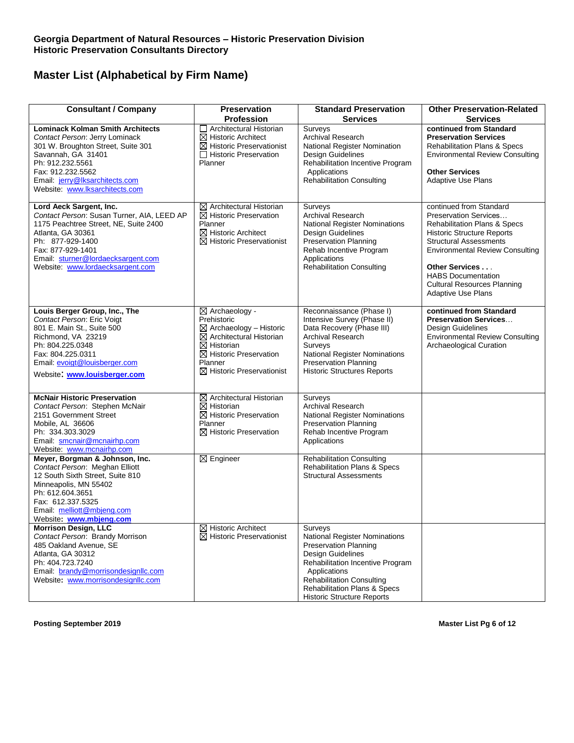| <b>Consultant / Company</b>                                                                                                                                                                                                                            | Preservation                                                                                                                                                                                                                 | <b>Standard Preservation</b>                                                                                                                                                                                                                                      | <b>Other Preservation-Related</b>                                                                                                                                                                                                                                                                                      |
|--------------------------------------------------------------------------------------------------------------------------------------------------------------------------------------------------------------------------------------------------------|------------------------------------------------------------------------------------------------------------------------------------------------------------------------------------------------------------------------------|-------------------------------------------------------------------------------------------------------------------------------------------------------------------------------------------------------------------------------------------------------------------|------------------------------------------------------------------------------------------------------------------------------------------------------------------------------------------------------------------------------------------------------------------------------------------------------------------------|
| <b>Lominack Kolman Smith Architects</b><br>Contact Person: Jerry Lominack<br>301 W. Broughton Street, Suite 301<br>Savannah, GA 31401<br>Ph: 912.232.5561<br>Fax: 912.232.5562<br>Email: jerry@lksarchitects.com<br>Website: www.lksarchitects.com     | <b>Profession</b><br>Architectural Historian<br>$\boxtimes$ Historic Architect<br>$\boxtimes$ Historic Preservationist<br>Historic Preservation<br>Planner                                                                   | <b>Services</b><br>Surveys<br><b>Archival Research</b><br>National Register Nomination<br>Design Guidelines<br>Rehabilitation Incentive Program<br>Applications<br><b>Rehabilitation Consulting</b>                                                               | <b>Services</b><br>continued from Standard<br><b>Preservation Services</b><br><b>Rehabilitation Plans &amp; Specs</b><br><b>Environmental Review Consulting</b><br><b>Other Services</b><br><b>Adaptive Use Plans</b>                                                                                                  |
| Lord Aeck Sargent, Inc.<br>Contact Person: Susan Turner, AIA, LEED AP<br>1175 Peachtree Street, NE, Suite 2400<br>Atlanta, GA 30361<br>Ph: 877-929-1400<br>Fax: 877-929-1401<br>Email: sturner@lordaecksargent.com<br>Website: www.lordaecksargent.com | $\boxtimes$ Architectural Historian<br>$\boxtimes$ Historic Preservation<br>Planner<br>$\boxtimes$ Historic Architect<br>$\boxtimes$ Historic Preservationist                                                                | Surveys<br><b>Archival Research</b><br><b>National Register Nominations</b><br>Design Guidelines<br><b>Preservation Planning</b><br>Rehab Incentive Program<br>Applications<br><b>Rehabilitation Consulting</b>                                                   | continued from Standard<br>Preservation Services<br><b>Rehabilitation Plans &amp; Specs</b><br><b>Historic Structure Reports</b><br><b>Structural Assessments</b><br><b>Environmental Review Consulting</b><br>Other Services<br><b>HABS Documentation</b><br><b>Cultural Resources Planning</b><br>Adaptive Use Plans |
| Louis Berger Group, Inc., The<br>Contact Person: Eric Voigt<br>801 E. Main St., Suite 500<br>Richmond, VA 23219<br>Ph: 804.225.0348<br>Fax: 804.225.0311<br>Email: evoigt@louisberger.com<br>Website: www.louisberger.com                              | ⊠ Archaeology -<br>Prehistoric<br>$\boxtimes$ Archaeology - Historic<br>$\boxtimes$ Architectural Historian<br>$\boxtimes$ Historian<br>$\boxtimes$ Historic Preservation<br>Planner<br>$\boxtimes$ Historic Preservationist | Reconnaissance (Phase I)<br>Intensive Survey (Phase II)<br>Data Recovery (Phase III)<br>Archival Research<br>Surveys<br><b>National Register Nominations</b><br><b>Preservation Planning</b><br><b>Historic Structures Reports</b>                                | continued from Standard<br><b>Preservation Services</b><br>Design Guidelines<br><b>Environmental Review Consulting</b><br>Archaeological Curation                                                                                                                                                                      |
| <b>McNair Historic Preservation</b><br>Contact Person: Stephen McNair<br>2151 Government Street<br>Mobile, AL 36606<br>Ph: 334.303.3029<br>Email: smcnair@mcnairhp.com<br>Website: www.mcnairhp.com                                                    | $\boxtimes$ Architectural Historian<br>$\boxtimes$ Historian<br>$\boxtimes$ Historic Preservation<br>Planner<br>$\boxtimes$ Historic Preservation                                                                            | Surveys<br><b>Archival Research</b><br><b>National Register Nominations</b><br><b>Preservation Planning</b><br>Rehab Incentive Program<br>Applications                                                                                                            |                                                                                                                                                                                                                                                                                                                        |
| Meyer, Borgman & Johnson, Inc.<br>Contact Person: Meghan Elliott<br>12 South Sixth Street, Suite 810<br>Minneapolis, MN 55402<br>Ph: 612.604.3651<br>Fax: 612.337.5325<br>Email: melliott@mbjeng.com<br>Website: www.mbjeng.com                        | $\boxtimes$ Engineer                                                                                                                                                                                                         | <b>Rehabilitation Consulting</b><br><b>Rehabilitation Plans &amp; Specs</b><br><b>Structural Assessments</b>                                                                                                                                                      |                                                                                                                                                                                                                                                                                                                        |
| <b>Morrison Design, LLC</b><br>Contact Person: Brandy Morrison<br>485 Oakland Avenue, SE<br>Atlanta, GA 30312<br>Ph: 404.723.7240<br>Email: brandy@morrisondesignllc.com<br>Website: www.morrisondesignllc.com                                         | $\boxtimes$ Historic Architect<br>$\boxtimes$ Historic Preservationist                                                                                                                                                       | Surveys<br>National Register Nominations<br><b>Preservation Planning</b><br><b>Design Guidelines</b><br>Rehabilitation Incentive Program<br>Applications<br><b>Rehabilitation Consulting</b><br>Rehabilitation Plans & Specs<br><b>Historic Structure Reports</b> |                                                                                                                                                                                                                                                                                                                        |

**Posting September 2019 Master List Pg 6 of 12**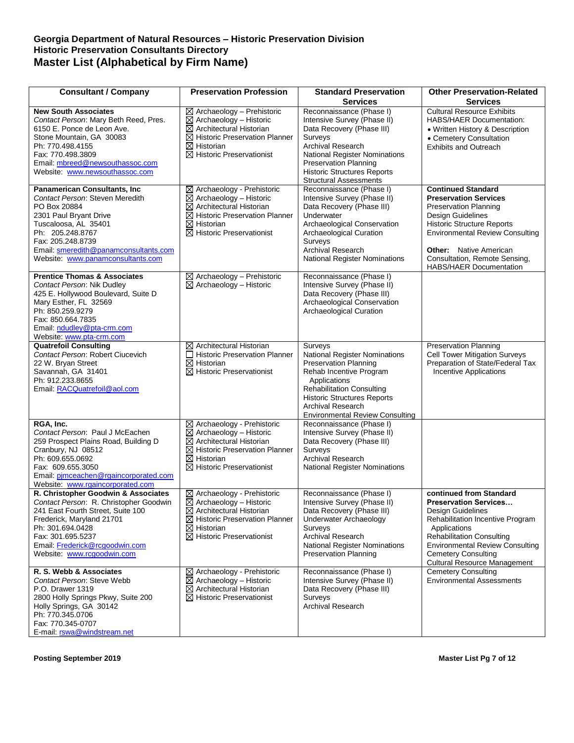#### **Georgia Department of Natural Resources – Historic Preservation Division Historic Preservation Consultants Directory Master List (Alphabetical by Firm Name)**

| <b>Consultant / Company</b>                                                                                                                                                                                                                                     | <b>Preservation Profession</b>                                                                                                                                                                                                   | <b>Standard Preservation</b>                                                                                                                                                                                                                                               | <b>Other Preservation-Related</b>                                                                                                                                                                                                                                                                 |
|-----------------------------------------------------------------------------------------------------------------------------------------------------------------------------------------------------------------------------------------------------------------|----------------------------------------------------------------------------------------------------------------------------------------------------------------------------------------------------------------------------------|----------------------------------------------------------------------------------------------------------------------------------------------------------------------------------------------------------------------------------------------------------------------------|---------------------------------------------------------------------------------------------------------------------------------------------------------------------------------------------------------------------------------------------------------------------------------------------------|
|                                                                                                                                                                                                                                                                 |                                                                                                                                                                                                                                  | <b>Services</b>                                                                                                                                                                                                                                                            | <b>Services</b>                                                                                                                                                                                                                                                                                   |
| <b>New South Associates</b><br>Contact Person: Mary Beth Reed, Pres.<br>6150 E. Ponce de Leon Ave.<br>Stone Mountain, GA 30083<br>Ph: 770.498.4155<br>Fax: 770.498.3809<br>Email: mbreed@newsouthassoc.com<br>Website: www.newsouthassoc.com                    | $\boxtimes$ Archaeology - Prehistoric<br>$\boxtimes$ Archaeology - Historic<br>$\boxtimes$ Architectural Historian<br>$\boxtimes$ Historic Preservation Planner<br>$\boxtimes$ Historian<br>$\boxtimes$ Historic Preservationist | Reconnaissance (Phase I)<br>Intensive Survey (Phase II)<br>Data Recovery (Phase III)<br>Surveys<br><b>Archival Research</b><br><b>National Register Nominations</b><br><b>Preservation Planning</b><br><b>Historic Structures Reports</b><br><b>Structural Assessments</b> | <b>Cultural Resource Exhibits</b><br><b>HABS/HAER Documentation:</b><br>• Written History & Description<br>• Cemetery Consultation<br><b>Exhibits and Outreach</b>                                                                                                                                |
| <b>Panamerican Consultants, Inc</b><br>Contact Person: Steven Meredith<br>PO Box 20884<br>2301 Paul Bryant Drive<br>Tuscaloosa, AL 35401<br>Ph: 205.248.8767<br>Fax: 205.248.8739<br>Email: smeredith@panamconsultants.com<br>Website: www.panamconsultants.com | ⊠ Archaeology - Prehistoric<br>$\boxtimes$ Archaeology - Historic<br>$\boxtimes$ Architectural Historian<br>$\boxtimes$ Historic Preservation Planner<br>$\boxtimes$ Historian<br>$\boxtimes$ Historic Preservationist           | Reconnaissance (Phase I)<br>Intensive Survey (Phase II)<br>Data Recovery (Phase III)<br>Underwater<br>Archaeological Conservation<br>Archaeological Curation<br>Surveys<br><b>Archival Research</b><br>National Register Nominations                                       | <b>Continued Standard</b><br><b>Preservation Services</b><br><b>Preservation Planning</b><br>Design Guidelines<br><b>Historic Structure Reports</b><br><b>Environmental Review Consulting</b><br><b>Other:</b> Native American<br>Consultation, Remote Sensing,<br><b>HABS/HAER Documentation</b> |
| <b>Prentice Thomas &amp; Associates</b><br>Contact Person: Nik Dudley<br>425 E. Hollywood Boulevard, Suite D<br>Mary Esther, FL 32569<br>Ph: 850.259.9279<br>Fax: 850.664.7835<br>Email: ndudley@pta-crm.com<br>Website: www.pta-crm.com                        | $\boxtimes$ Archaeology - Prehistoric<br>$\boxtimes$ Archaeology - Historic                                                                                                                                                      | Reconnaissance (Phase I)<br>Intensive Survey (Phase II)<br>Data Recovery (Phase III)<br>Archaeological Conservation<br>Archaeological Curation                                                                                                                             |                                                                                                                                                                                                                                                                                                   |
| <b>Quatrefoil Consulting</b><br>Contact Person: Robert Ciucevich<br>22 W. Bryan Street<br>Savannah, GA 31401<br>Ph: 912.233.8655<br>Email: RACQuatrefoil@aol.com                                                                                                | $\boxtimes$ Architectural Historian<br>□ Historic Preservation Planner<br>$\boxtimes$ Historian<br>$\boxtimes$ Historic Preservationist                                                                                          | Surveys<br>National Register Nominations<br><b>Preservation Planning</b><br>Rehab Incentive Program<br>Applications<br><b>Rehabilitation Consulting</b><br><b>Historic Structures Reports</b><br><b>Archival Research</b><br><b>Environmental Review Consulting</b>        | <b>Preservation Planning</b><br><b>Cell Tower Mitigation Surveys</b><br>Preparation of State/Federal Tax<br>Incentive Applications                                                                                                                                                                |
| RGA, Inc.<br>Contact Person: Paul J McEachen<br>259 Prospect Plains Road, Building D<br>Cranbury, NJ 08512<br>Ph: 609.655.0692<br>Fax: 609.655.3050<br>Email: pimceachen@rgaincorporated.com<br>Website: www.rgaincorporated.com                                | ⊠ Archaeology - Prehistoric<br>$\boxtimes$ Archaeology - Historic<br>$\boxtimes$ Architectural Historian<br>⊠ Historic Preservation Planner<br>$\boxtimes$ Historian<br>$\boxtimes$ Historic Preservationist                     | Reconnaissance (Phase I)<br>Intensive Survey (Phase II)<br>Data Recovery (Phase III)<br>Surveys<br><b>Archival Research</b><br>National Register Nominations                                                                                                               |                                                                                                                                                                                                                                                                                                   |
| R. Christopher Goodwin & Associates<br>Contact Person: R. Christopher Goodwin<br>241 East Fourth Street, Suite 100<br>Frederick, Maryland 21701<br>Ph: 301.694.0428<br>Fax: 301.695.5237<br>Email: Frederick@rcgoodwin.com<br>Website: www.rcgoodwin.com        | $\boxtimes$ Archaeology - Prehistoric<br>$\boxtimes$ Archaeology - Historic<br>$\boxtimes$ Architectural Historian<br>$\boxtimes$ Historic Preservation Planner<br>$\boxtimes$ Historian<br>$\boxtimes$ Historic Preservationist | Reconnaissance (Phase I)<br>Intensive Survey (Phase II)<br>Data Recovery (Phase III)<br>Underwater Archaeology<br>Surveys<br><b>Archival Research</b><br><b>National Register Nominations</b><br><b>Preservation Planning</b>                                              | continued from Standard<br><b>Preservation Services</b><br>Design Guidelines<br>Rehabilitation Incentive Program<br>Applications<br><b>Rehabilitation Consulting</b><br><b>Environmental Review Consulting</b><br><b>Cemetery Consulting</b><br><b>Cultural Resource Management</b>               |
| R. S. Webb & Associates<br>Contact Person: Steve Webb<br>P.O. Drawer 1319<br>2800 Holly Springs Pkwy, Suite 200<br>Holly Springs, GA 30142<br>Ph: 770.345.0706<br>Fax: 770.345-0707<br>E-mail: rswa@windstream.net                                              | $\boxtimes$ Archaeology - Prehistoric<br>$\boxtimes$ Archaeology – Historic<br>$\boxtimes$ Architectural Historian<br>$\boxtimes$ Historic Preservationist                                                                       | Reconnaissance (Phase I)<br>Intensive Survey (Phase II)<br>Data Recovery (Phase III)<br>Surveys<br><b>Archival Research</b>                                                                                                                                                | <b>Cemetery Consulting</b><br><b>Environmental Assessments</b>                                                                                                                                                                                                                                    |

**Posting September 2019 Master List Pg 7 of 12**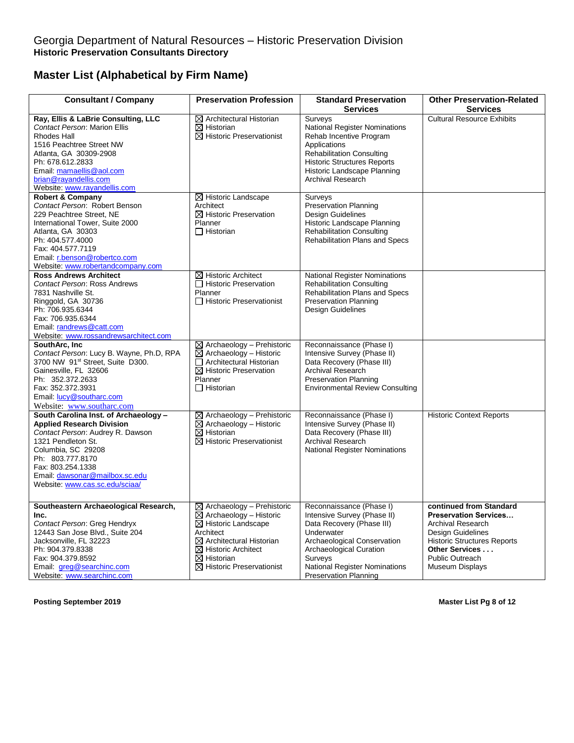| <b>Consultant / Company</b>                                                                                                                                                                                                                                                      | <b>Preservation Profession</b>                                                                                                                                                                                                                                                  | <b>Standard Preservation</b>                                                                                                                                                                                                             | <b>Other Preservation-Related</b>                                                                                                                                                                      |
|----------------------------------------------------------------------------------------------------------------------------------------------------------------------------------------------------------------------------------------------------------------------------------|---------------------------------------------------------------------------------------------------------------------------------------------------------------------------------------------------------------------------------------------------------------------------------|------------------------------------------------------------------------------------------------------------------------------------------------------------------------------------------------------------------------------------------|--------------------------------------------------------------------------------------------------------------------------------------------------------------------------------------------------------|
|                                                                                                                                                                                                                                                                                  |                                                                                                                                                                                                                                                                                 | <b>Services</b>                                                                                                                                                                                                                          | <b>Services</b>                                                                                                                                                                                        |
| Ray, Ellis & LaBrie Consulting, LLC<br>Contact Person: Marion Ellis<br>Rhodes Hall<br>1516 Peachtree Street NW<br>Atlanta, GA 30309-2908<br>Ph: 678.612.2833<br>Email: mamaellis@aol.com<br>brian@rayandellis.com<br>Website: www.rayandellis.com<br><b>Robert &amp; Company</b> | $\boxtimes$ Architectural Historian<br>$\boxtimes$ Historian<br>$\boxtimes$ Historic Preservationist<br>$\boxtimes$ Historic Landscape                                                                                                                                          | Surveys<br>National Register Nominations<br>Rehab Incentive Program<br>Applications<br><b>Rehabilitation Consulting</b><br><b>Historic Structures Reports</b><br>Historic Landscape Planning<br>Archival Research<br>Surveys             | <b>Cultural Resource Exhibits</b>                                                                                                                                                                      |
| Contact Person: Robert Benson<br>229 Peachtree Street. NE<br>International Tower, Suite 2000<br>Atlanta, GA 30303<br>Ph: 404.577.4000<br>Fax: 404.577.7119<br>Email: r.benson@robertco.com<br>Website: www.robertandcompany.com                                                  | Architect<br>$\boxtimes$ Historic Preservation<br>Planner<br>$\Box$ Historian                                                                                                                                                                                                   | <b>Preservation Planning</b><br><b>Design Guidelines</b><br>Historic Landscape Planning<br><b>Rehabilitation Consulting</b><br><b>Rehabilitation Plans and Specs</b>                                                                     |                                                                                                                                                                                                        |
| <b>Ross Andrews Architect</b><br>Contact Person: Ross Andrews<br>7831 Nashville St.<br>Ringgold, GA 30736<br>Ph: 706.935.6344<br>Fax: 706.935.6344<br>Email: randrews@catt.com<br>Website: www.rossandrewsarchitect.com                                                          | $\boxtimes$ Historic Architect<br>□ Historic Preservation<br>Planner<br>□ Historic Preservationist                                                                                                                                                                              | <b>National Register Nominations</b><br><b>Rehabilitation Consulting</b><br>Rehabilitation Plans and Specs<br><b>Preservation Planning</b><br>Design Guidelines                                                                          |                                                                                                                                                                                                        |
| SouthArc, Inc<br>Contact Person: Lucy B. Wayne, Ph.D, RPA<br>3700 NW 91st Street, Suite D300.<br>Gainesville, FL 32606<br>Ph: 352.372.2633<br>Fax: 352.372.3931<br>Email: lucy@southarc.com<br>Website: www.southarc.com                                                         | $\boxtimes$ Archaeology - Prehistoric<br>$\boxtimes$ Archaeology - Historic<br>□ Architectural Historian<br>$\boxtimes$ Historic Preservation<br>Planner<br>$\Box$ Historian                                                                                                    | Reconnaissance (Phase I)<br>Intensive Survey (Phase II)<br>Data Recovery (Phase III)<br><b>Archival Research</b><br><b>Preservation Planning</b><br><b>Environmental Review Consulting</b>                                               |                                                                                                                                                                                                        |
| South Carolina Inst. of Archaeology -<br><b>Applied Research Division</b><br>Contact Person: Audrey R. Dawson<br>1321 Pendleton St.<br>Columbia, SC 29208<br>Ph: 803.777.8170<br>Fax: 803.254.1338<br>Email: dawsonar@mailbox.sc.edu<br>Website: www.cas.sc.edu/sciaa/           | $\boxtimes$ Archaeology - Prehistoric<br>$\boxtimes$ Archaeology - Historic<br>$\boxtimes$ Historian<br>$\boxtimes$ Historic Preservationist                                                                                                                                    | Reconnaissance (Phase I)<br>Intensive Survey (Phase II)<br>Data Recovery (Phase III)<br><b>Archival Research</b><br>National Register Nominations                                                                                        | <b>Historic Context Reports</b>                                                                                                                                                                        |
| Southeastern Archaeological Research,<br>Inc.<br>Contact Person: Greg Hendryx<br>12443 San Jose Blvd., Suite 204<br>Jacksonville, FL 32223<br>Ph: 904.379.8338<br>Fax: 904.379.8592<br>Email: greg@searchinc.com<br>Website: www.searchinc.com                                   | $\boxtimes$ Archaeology - Prehistoric<br>$\boxtimes$ Archaeology - Historic<br>$\overline{\boxtimes}$ Historic Landscape<br>Architect<br>$\boxtimes$ Architectural Historian<br>$\boxtimes$ Historic Architect<br>$\boxtimes$ Historian<br>$\boxtimes$ Historic Preservationist | Reconnaissance (Phase I)<br>Intensive Survey (Phase II)<br>Data Recovery (Phase III)<br>Underwater<br>Archaeological Conservation<br>Archaeological Curation<br>Surveys<br>National Register Nominations<br><b>Preservation Planning</b> | continued from Standard<br><b>Preservation Services</b><br>Archival Research<br>Design Guidelines<br><b>Historic Structures Reports</b><br>Other Services<br><b>Public Outreach</b><br>Museum Displays |

**Posting September 2019 Master List Pg 8 of 12**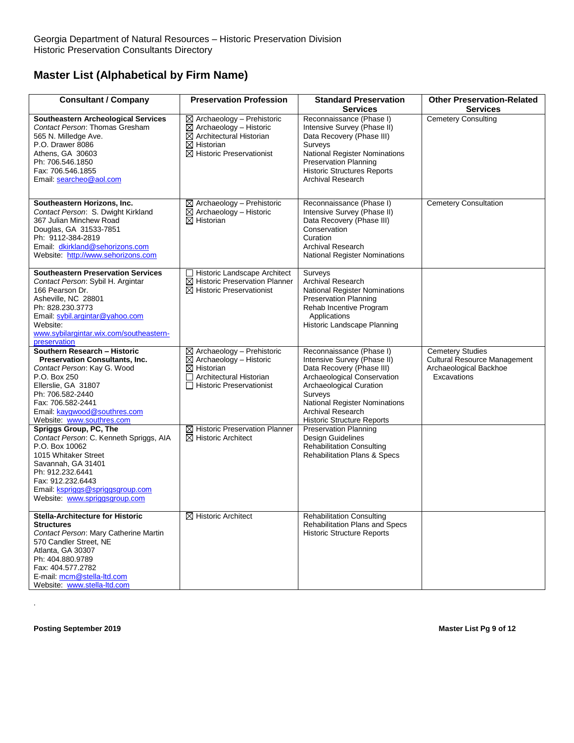| <b>Consultant / Company</b>                                                                                                                                                                                                                            | <b>Preservation Profession</b>                                                                                                                                                      | <b>Standard Preservation</b><br><b>Services</b>                                                                                                                                                                                                                    | <b>Other Preservation-Related</b><br><b>Services</b>                                                    |
|--------------------------------------------------------------------------------------------------------------------------------------------------------------------------------------------------------------------------------------------------------|-------------------------------------------------------------------------------------------------------------------------------------------------------------------------------------|--------------------------------------------------------------------------------------------------------------------------------------------------------------------------------------------------------------------------------------------------------------------|---------------------------------------------------------------------------------------------------------|
| <b>Southeastern Archeological Services</b><br>Contact Person: Thomas Gresham<br>565 N. Milledge Ave.<br>P.O. Drawer 8086<br>Athens, GA 30603<br>Ph: 706.546.1850<br>Fax: 706.546.1855<br>Email: searcheo@aol.com                                       | $\boxtimes$ Archaeology - Prehistoric<br>$\boxtimes$ Archaeology - Historic<br>$\boxtimes$ Architectural Historian<br>$\boxtimes$ Historian<br>$\boxtimes$ Historic Preservationist | Reconnaissance (Phase I)<br>Intensive Survey (Phase II)<br>Data Recovery (Phase III)<br>Surveys<br><b>National Register Nominations</b><br>Preservation Planning<br><b>Historic Structures Reports</b><br><b>Archival Research</b>                                 | <b>Cemetery Consulting</b>                                                                              |
| Southeastern Horizons, Inc.<br>Contact Person: S. Dwight Kirkland<br>367 Julian Minchew Road<br>Douglas, GA 31533-7851<br>Ph: 9112-384-2819<br>Email: dkirkland@sehorizons.com<br>Website: http://www.sehorizons.com                                   | ⊠ Archaeology - Prehistoric<br>$\boxtimes$ Archaeology - Historic<br>$\boxtimes$ Historian                                                                                          | Reconnaissance (Phase I)<br>Intensive Survey (Phase II)<br>Data Recovery (Phase III)<br>Conservation<br>Curation<br><b>Archival Research</b><br><b>National Register Nominations</b>                                                                               | <b>Cemetery Consultation</b>                                                                            |
| <b>Southeastern Preservation Services</b><br>Contact Person: Sybil H. Argintar<br>166 Pearson Dr.<br>Asheville, NC 28801<br>Ph: 828.230.3773<br>Email: sybil.argintar@yahoo.com<br>Website:<br>www.sybilargintar.wix.com/southeastern-<br>preservation | Historic Landscape Architect<br>$\boxtimes$ Historic Preservation Planner<br>$\boxtimes$ Historic Preservationist                                                                   | Surveys<br><b>Archival Research</b><br><b>National Register Nominations</b><br><b>Preservation Planning</b><br>Rehab Incentive Program<br>Applications<br>Historic Landscape Planning                                                                              |                                                                                                         |
| Southern Research - Historic<br><b>Preservation Consultants, Inc.</b><br>Contact Person: Kay G. Wood<br>P.O. Box 250<br>Ellerslie, GA 31807<br>Ph: 706.582-2440<br>Fax: 706.582-2441<br>Email: kaygwood@southres.com<br>Website: www.southres.com      | $\boxtimes$ Archaeology - Prehistoric<br>$\boxtimes$ Archaeology - Historic<br>$\boxtimes$ Historian<br>$\Box$ Architectural Historian<br>□ Historic Preservationist                | Reconnaissance (Phase I)<br>Intensive Survey (Phase II)<br>Data Recovery (Phase III)<br>Archaeological Conservation<br>Archaeological Curation<br>Surveys<br><b>National Register Nominations</b><br><b>Archival Research</b><br><b>Historic Structure Reports</b> | <b>Cemetery Studies</b><br><b>Cultural Resource Management</b><br>Archaeological Backhoe<br>Excavations |
| Spriggs Group, PC, The<br>Contact Person: C. Kenneth Spriggs, AIA<br>P.O. Box 10062<br>1015 Whitaker Street<br>Savannah, GA 31401<br>Ph: 912.232.6441<br>Fax: 912.232.6443<br>Email: kspriggs@spriggsgroup.com<br>Website: www.spriggsgroup.com        | $\boxtimes$ Historic Preservation Planner<br>$\boxtimes$ Historic Architect                                                                                                         | <b>Preservation Planning</b><br>Design Guidelines<br><b>Rehabilitation Consulting</b><br>Rehabilitation Plans & Specs                                                                                                                                              |                                                                                                         |
| Stella-Architecture for Historic<br><b>Structures</b><br>Contact Person: Mary Catherine Martin<br>570 Candler Street. NE<br>Atlanta, GA 30307<br>Ph: 404.880.9789<br>Fax: 404.577.2782<br>E-mail: mcm@stella-ltd.com<br>Website: www.stella-ltd.com    | ⊠ Historic Architect                                                                                                                                                                | <b>Rehabilitation Consulting</b><br>Rehabilitation Plans and Specs<br><b>Historic Structure Reports</b>                                                                                                                                                            |                                                                                                         |

**Posting September 2019 Master List Pg 9 of 12**

.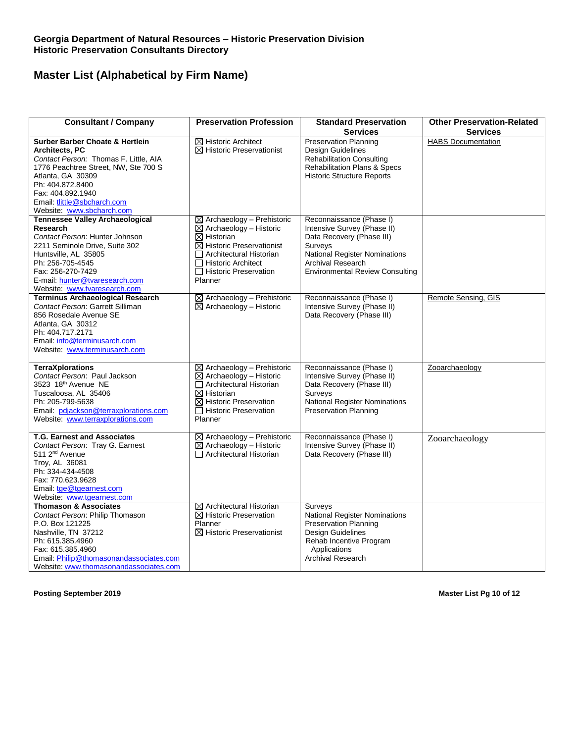| <b>Consultant / Company</b>                                                                                                                                                                                                                                             | <b>Preservation Profession</b>                                                                                                                                                                                                               | <b>Standard Preservation</b><br><b>Services</b>                                                                                                                                                        | <b>Other Preservation-Related</b><br><b>Services</b> |
|-------------------------------------------------------------------------------------------------------------------------------------------------------------------------------------------------------------------------------------------------------------------------|----------------------------------------------------------------------------------------------------------------------------------------------------------------------------------------------------------------------------------------------|--------------------------------------------------------------------------------------------------------------------------------------------------------------------------------------------------------|------------------------------------------------------|
| <b>Surber Barber Choate &amp; Hertlein</b><br>Architects, PC<br>Contact Person: Thomas F. Little, AIA<br>1776 Peachtree Street, NW, Ste 700 S<br>Atlanta, GA 30309<br>Ph: 404.872.8400<br>Fax: 404.892.1940<br>Email: tlittle@sbcharch.com<br>Website: www.sbcharch.com | $\boxtimes$ Historic Architect<br>$\boxtimes$ Historic Preservationist                                                                                                                                                                       | <b>Preservation Planning</b><br>Design Guidelines<br><b>Rehabilitation Consulting</b><br><b>Rehabilitation Plans &amp; Specs</b><br><b>Historic Structure Reports</b>                                  | <b>HABS</b> Documentation                            |
| <b>Tennessee Valley Archaeological</b><br>Research<br>Contact Person: Hunter Johnson<br>2211 Seminole Drive, Suite 302<br>Huntsville, AL 35805<br>Ph: 256-705-4545<br>Fax: 256-270-7429<br>E-mail: hunter@tvaresearch.com<br>Website: www.tvaresearch.com               | $\boxtimes$ Archaeology – Prehistoric<br>$\boxtimes$ Archaeology - Historic<br>$\boxtimes$ Historian<br>$\boxtimes$ Historic Preservationist<br>$\Box$ Architectural Historian<br>□ Historic Architect<br>□ Historic Preservation<br>Planner | Reconnaissance (Phase I)<br>Intensive Survey (Phase II)<br>Data Recovery (Phase III)<br>Surveys<br>National Register Nominations<br><b>Archival Research</b><br><b>Environmental Review Consulting</b> |                                                      |
| <b>Terminus Archaeological Research</b><br>Contact Person: Garrett Silliman<br>856 Rosedale Avenue SE<br>Atlanta, GA 30312<br>Ph: 404.717.2171<br>Email: info@terminusarch.com<br>Website: www.terminusarch.com                                                         | $\boxtimes$ Archaeology - Prehistoric<br>$\boxtimes$ Archaeology - Historic                                                                                                                                                                  | Reconnaissance (Phase I)<br>Intensive Survey (Phase II)<br>Data Recovery (Phase III)                                                                                                                   | Remote Sensing, GIS                                  |
| <b>TerraXplorations</b><br>Contact Person: Paul Jackson<br>3523 18th Avenue NE<br>Tuscaloosa, AL 35406<br>Ph: 205-799-5638<br>Email: pdjackson@terraxplorations.com<br>Website: www.terraxplorations.com                                                                | $\boxtimes$ Archaeology - Prehistoric<br>$\boxtimes$ Archaeology - Historic<br>□ Architectural Historian<br>$\boxtimes$ Historian<br>$\boxtimes$ Historic Preservation<br>□ Historic Preservation<br>Planner                                 | Reconnaissance (Phase I)<br>Intensive Survey (Phase II)<br>Data Recovery (Phase III)<br>Surveys<br>National Register Nominations<br>Preservation Planning                                              | Zooarchaeology                                       |
| <b>T.G. Earnest and Associates</b><br>Contact Person: Tray G. Earnest<br>511 2 <sup>nd</sup> Avenue<br>Troy, AL 36081<br>Ph: 334-434-4508<br>Fax: 770.623.9628<br>Email: tge@tgearnest.com<br>Website: www.tgearnest.com                                                | ⊠ Archaeology - Prehistoric<br>$\boxtimes$ Archaeology - Historic<br>□ Architectural Historian                                                                                                                                               | Reconnaissance (Phase I)<br>Intensive Survey (Phase II)<br>Data Recovery (Phase III)                                                                                                                   | Zooarchaeology                                       |
| <b>Thomason &amp; Associates</b><br>Contact Person: Philip Thomason<br>P.O. Box 121225<br>Nashville, TN 37212<br>Ph: 615.385.4960<br>Fax: 615.385.4960<br>Email: Philip@thomasonandassociates.com<br>Website: www.thomasonandassociates.com                             | $\boxtimes$ Architectural Historian<br>$\boxtimes$ Historic Preservation<br>Planner<br>$\boxtimes$ Historic Preservationist                                                                                                                  | Surveys<br><b>National Register Nominations</b><br><b>Preservation Planning</b><br><b>Design Guidelines</b><br>Rehab Incentive Program<br>Applications<br><b>Archival Research</b>                     |                                                      |

**Posting September 2019 Master List Pg 10 of 12**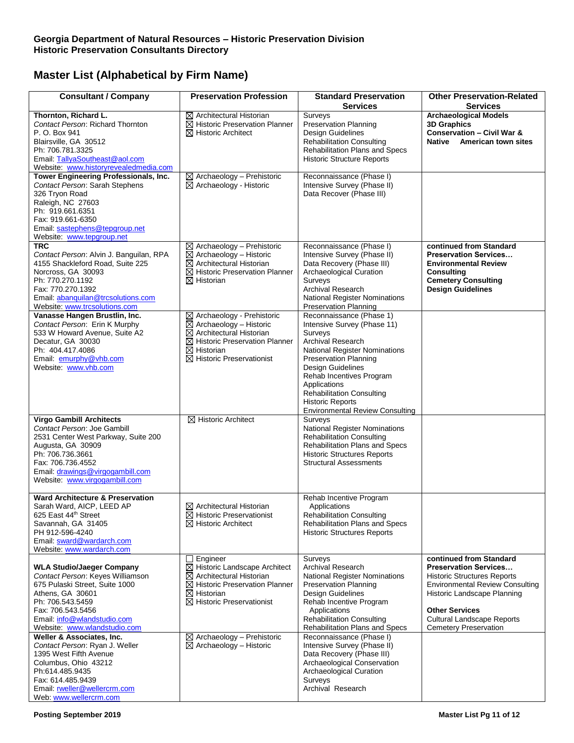| <b>Consultant / Company</b>                                                                                                                                                                                                              | <b>Preservation Profession</b>                                                                                                                                                                                         | <b>Standard Preservation</b><br><b>Services</b>                                                                                                                                                                                                                                                                                                  | <b>Other Preservation-Related</b><br><b>Services</b>                                                                                                                                                                                                                 |
|------------------------------------------------------------------------------------------------------------------------------------------------------------------------------------------------------------------------------------------|------------------------------------------------------------------------------------------------------------------------------------------------------------------------------------------------------------------------|--------------------------------------------------------------------------------------------------------------------------------------------------------------------------------------------------------------------------------------------------------------------------------------------------------------------------------------------------|----------------------------------------------------------------------------------------------------------------------------------------------------------------------------------------------------------------------------------------------------------------------|
| Thornton, Richard L.<br>Contact Person: Richard Thornton<br>P. O. Box 941<br>Blairsville, GA 30512<br>Ph: 706.781.3325<br>Email: TallyaSoutheast@aol.com<br>Website: www.historyrevealedmedia.com                                        | $\boxtimes$ Architectural Historian<br>⊠ Historic Preservation Planner<br>$\boxtimes$ Historic Architect                                                                                                               | Surveys<br><b>Preservation Planning</b><br>Design Guidelines<br><b>Rehabilitation Consulting</b><br>Rehabilitation Plans and Specs<br><b>Historic Structure Reports</b>                                                                                                                                                                          | <b>Archaeological Models</b><br><b>3D Graphics</b><br><b>Conservation - Civil War &amp;</b><br>Native<br><b>American town sites</b>                                                                                                                                  |
| <b>Tower Engineering Professionals, Inc.</b><br>Contact Person: Sarah Stephens<br>326 Tryon Road<br>Raleigh, NC 27603<br>Ph: 919.661.6351<br>Fax: 919.661-6350<br>Email: sastephens@tepgroup.net<br>Website: www.tepgroup.net            | $\boxtimes$ Archaeology - Prehistoric<br>$\boxtimes$ Archaeology - Historic                                                                                                                                            | Reconnaissance (Phase I)<br>Intensive Survey (Phase II)<br>Data Recover (Phase III)                                                                                                                                                                                                                                                              |                                                                                                                                                                                                                                                                      |
| <b>TRC</b><br>Contact Person: Alvin J. Banguilan, RPA<br>4155 Shackleford Road, Suite 225<br>Norcross, GA 30093<br>Ph: 770.270.1192<br>Fax: 770.270.1392<br>Email: abanquilan@trcsolutions.com<br>Website: www.trcsolutions.com          | $\boxtimes$ Archaeology - Prehistoric<br>$\boxtimes$ Archaeology - Historic<br>$\boxtimes$ Architectural Historian<br>$\boxtimes$ Historic Preservation Planner<br>$\boxtimes$ Historian                               | Reconnaissance (Phase I)<br>Intensive Survey (Phase II)<br>Data Recovery (Phase III)<br>Archaeological Curation<br>Surveys<br><b>Archival Research</b><br><b>National Register Nominations</b><br><b>Preservation Planning</b>                                                                                                                   | continued from Standard<br><b>Preservation Services</b><br><b>Environmental Review</b><br><b>Consulting</b><br><b>Cemetery Consulting</b><br><b>Design Guidelines</b>                                                                                                |
| Vanasse Hangen Brustlin, Inc.<br>Contact Person: Erin K Murphy<br>533 W Howard Avenue, Suite A2<br>Decatur, GA 30030<br>Ph: 404.417.4086<br>Email: emurphy@vhb.com<br>Website: www.vhb.com                                               | ⊠ Archaeology - Prehistoric<br>$\boxtimes$ Archaeology - Historic<br>$\boxtimes$ Architectural Historian<br>$\boxtimes$ Historic Preservation Planner<br>$\boxtimes$ Historian<br>$\boxtimes$ Historic Preservationist | Reconnaissance (Phase 1)<br>Intensive Survey (Phase 11)<br>Surveys<br>Archival Research<br><b>National Register Nominations</b><br><b>Preservation Planning</b><br><b>Design Guidelines</b><br>Rehab Incentives Program<br>Applications<br><b>Rehabilitation Consulting</b><br><b>Historic Reports</b><br><b>Environmental Review Consulting</b> |                                                                                                                                                                                                                                                                      |
| <b>Virgo Gambill Architects</b><br>Contact Person: Joe Gambill<br>2531 Center West Parkway, Suite 200<br>Augusta, GA 30909<br>Ph: 706.736.3661<br>Fax: 706.736.4552<br>Email: drawings@virgogambill.com<br>Website: www.virgogambill.com | $\boxtimes$ Historic Architect                                                                                                                                                                                         | Surveys<br>National Register Nominations<br><b>Rehabilitation Consulting</b><br>Rehabilitation Plans and Specs<br><b>Historic Structures Reports</b><br><b>Structural Assessments</b>                                                                                                                                                            |                                                                                                                                                                                                                                                                      |
| <b>Ward Architecture &amp; Preservation</b><br>Sarah Ward, AICP, LEED AP<br>625 East 44th Street<br>Savannah, GA 31405<br>PH 912-596-4240<br>Email: sward@wardarch.com<br>Website: www.wardarch.com                                      | $\boxtimes$ Architectural Historian<br>$\boxtimes$ Historic Preservationist<br>$\boxtimes$ Historic Architect                                                                                                          | Rehab Incentive Program<br>Applications<br><b>Rehabilitation Consulting</b><br>Rehabilitation Plans and Specs<br><b>Historic Structures Reports</b>                                                                                                                                                                                              |                                                                                                                                                                                                                                                                      |
| <b>WLA Studio/Jaeger Company</b><br>Contact Person: Keyes Williamson<br>675 Pulaski Street, Suite 1000<br>Athens. GA 30601<br>Ph: 706.543.5459<br>Fax: 706.543.5456<br>Email: info@wlandstudio.com<br>Website: www.wlandstudio.com       | Engineer<br>⊠ Historic Landscape Architect<br>$\boxtimes$ Architectural Historian<br>⊠ Historic Preservation Planner<br>$\boxtimes$ Historian<br>$\boxtimes$ Historic Preservationist                                  | Surveys<br><b>Archival Research</b><br><b>National Register Nominations</b><br><b>Preservation Planning</b><br><b>Design Guidelines</b><br>Rehab Incentive Program<br>Applications<br><b>Rehabilitation Consulting</b><br>Rehabilitation Plans and Specs                                                                                         | continued from Standard<br><b>Preservation Services</b><br><b>Historic Structures Reports</b><br><b>Environmental Review Consulting</b><br>Historic Landscape Planning<br><b>Other Services</b><br><b>Cultural Landscape Reports</b><br><b>Cemetery Preservation</b> |
| Weller & Associates, Inc.<br>Contact Person: Ryan J. Weller<br>1395 West Fifth Avenue<br>Columbus, Ohio 43212<br>Ph:614.485.9435<br>Fax: 614.485.9439<br>Email: rweller@wellercrm.com<br>Web: www.wellercrm.com                          | $\boxtimes$ Archaeology - Prehistoric<br>$\boxtimes$ Archaeology - Historic                                                                                                                                            | Reconnaissance (Phase I)<br>Intensive Survey (Phase II)<br>Data Recovery (Phase III)<br>Archaeological Conservation<br>Archaeological Curation<br>Surveys<br>Archival Research                                                                                                                                                                   |                                                                                                                                                                                                                                                                      |